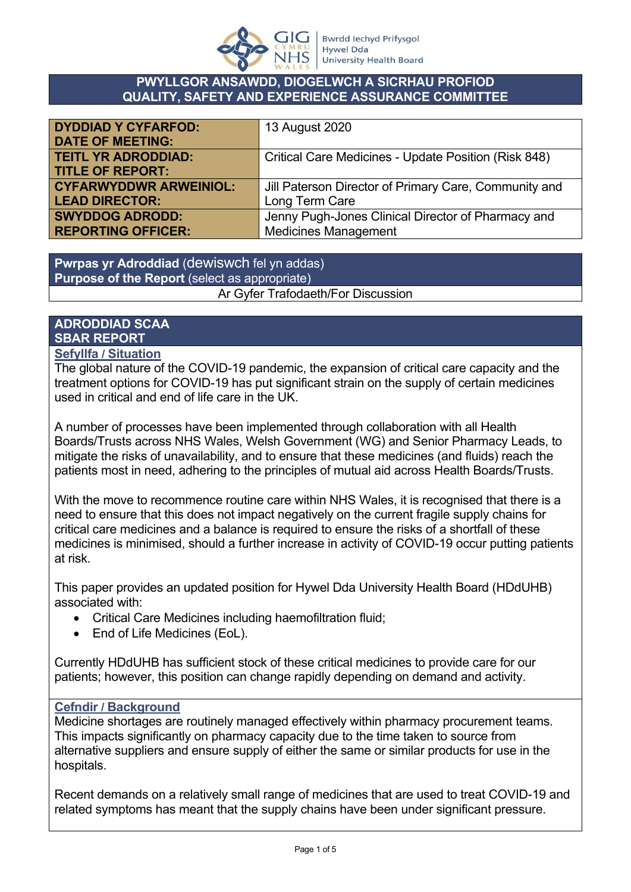

#### **PWYLLGOR ANSAWDD, DIOGELWCH A SICRHAU PROFIOD QUALITY, SAFETY AND EXPERIENCE ASSURANCE COMMITTEE**

| <b>DYDDIAD Y CYFARFOD:</b>    | 13 August 2020                                        |
|-------------------------------|-------------------------------------------------------|
| <b>DATE OF MEETING:</b>       |                                                       |
| <b>TEITL YR ADRODDIAD:</b>    | Critical Care Medicines - Update Position (Risk 848)  |
| <b>TITLE OF REPORT:</b>       |                                                       |
| <b>CYFARWYDDWR ARWEINIOL:</b> | Jill Paterson Director of Primary Care, Community and |
| <b>LEAD DIRECTOR:</b>         | Long Term Care                                        |
| <b>SWYDDOG ADRODD:</b>        | Jenny Pugh-Jones Clinical Director of Pharmacy and    |
| <b>REPORTING OFFICER:</b>     | <b>Medicines Management</b>                           |

**Pwrpas yr Adroddiad** (dewiswch fel yn addas) **Purpose of the Report** (select as appropriate) Ar Gyfer Trafodaeth/For Discussion

# **ADRODDIAD SCAA SBAR REPORT**

#### **Sefyllfa / Situation**

The global nature of the COVID-19 pandemic, the expansion of critical care capacity and the treatment options for COVID-19 has put significant strain on the supply of certain medicines used in critical and end of life care in the UK.

A number of processes have been implemented through collaboration with all Health Boards/Trusts across NHS Wales, Welsh Government (WG) and Senior Pharmacy Leads, to mitigate the risks of unavailability, and to ensure that these medicines (and fluids) reach the patients most in need, adhering to the principles of mutual aid across Health Boards/Trusts.

With the move to recommence routine care within NHS Wales, it is recognised that there is a need to ensure that this does not impact negatively on the current fragile supply chains for critical care medicines and a balance is required to ensure the risks of a shortfall of these medicines is minimised, should a further increase in activity of COVID-19 occur putting patients at risk.

This paper provides an updated position for Hywel Dda University Health Board (HDdUHB) associated with:

- Critical Care Medicines including haemofiltration fluid;
- End of Life Medicines (EoL).

Currently HDdUHB has sufficient stock of these critical medicines to provide care for our patients; however, this position can change rapidly depending on demand and activity.

#### **Cefndir / Background**

Medicine shortages are routinely managed effectively within pharmacy procurement teams. This impacts significantly on pharmacy capacity due to the time taken to source from alternative suppliers and ensure supply of either the same or similar products for use in the hospitals.

Recent demands on a relatively small range of medicines that are used to treat COVID-19 and related symptoms has meant that the supply chains have been under significant pressure.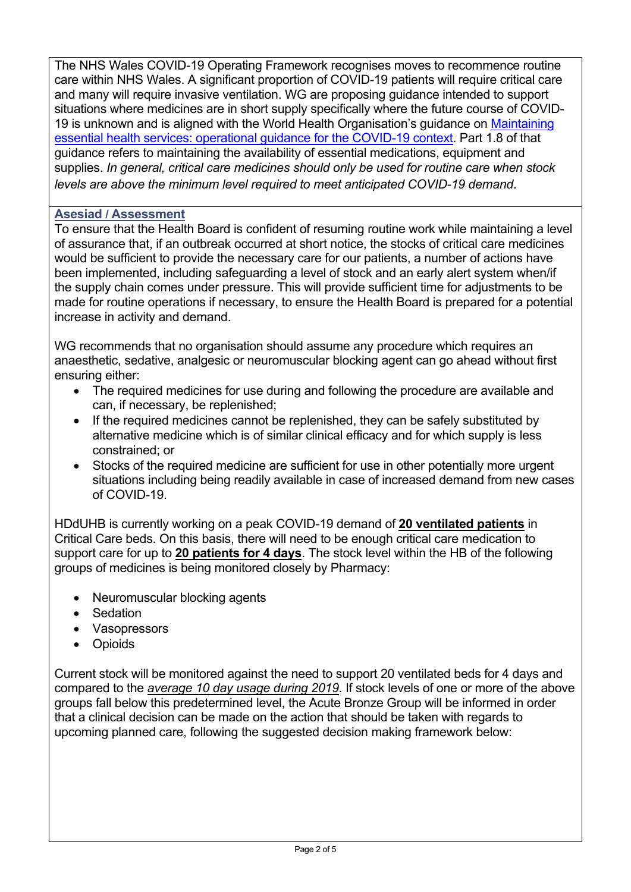The NHS Wales COVID-19 Operating Framework recognises moves to recommence routine care within NHS Wales. A significant proportion of COVID-19 patients will require critical care and many will require invasive ventilation. WG are proposing guidance intended to support situations where medicines are in short supply specifically where the future course of COVID-19 is unknown and is aligned with the World Health Organisation's guidance on [Maintaining](file:///C:/Users/Da086409/AppData/Local/Microsoft/Windows/Temporary%20Internet%20Files/Content.Outlook/2J73DDEB/Maintaining%20essential%20health%20services:%20operational%20guidance%20for%20the%20COVID-19%20context)  [essential health services: operational guidance for the COVID-19 context](file:///C:/Users/Da086409/AppData/Local/Microsoft/Windows/Temporary%20Internet%20Files/Content.Outlook/2J73DDEB/Maintaining%20essential%20health%20services:%20operational%20guidance%20for%20the%20COVID-19%20context). Part 1.8 of that guidance refers to maintaining the availability of essential medications, equipment and supplies. *In general, critical care medicines should only be used for routine care when stock levels are above the minimum level required to meet anticipated COVID-19 demand.*

#### **Asesiad / Assessment**

To ensure that the Health Board is confident of resuming routine work while maintaining a level of assurance that, if an outbreak occurred at short notice, the stocks of critical care medicines would be sufficient to provide the necessary care for our patients, a number of actions have been implemented, including safeguarding a level of stock and an early alert system when/if the supply chain comes under pressure. This will provide sufficient time for adjustments to be made for routine operations if necessary, to ensure the Health Board is prepared for a potential increase in activity and demand.

WG recommends that no organisation should assume any procedure which requires an anaesthetic, sedative, analgesic or neuromuscular blocking agent can go ahead without first ensuring either:

- The required medicines for use during and following the procedure are available and can, if necessary, be replenished;
- If the required medicines cannot be replenished, they can be safely substituted by alternative medicine which is of similar clinical efficacy and for which supply is less constrained; or
- Stocks of the required medicine are sufficient for use in other potentially more urgent situations including being readily available in case of increased demand from new cases of COVID-19.

HDdUHB is currently working on a peak COVID-19 demand of **20 ventilated patients** in Critical Care beds. On this basis, there will need to be enough critical care medication to support care for up to **20 patients for 4 days**. The stock level within the HB of the following groups of medicines is being monitored closely by Pharmacy:

- Neuromuscular blocking agents
- Sedation
- Vasopressors
- Opioids

Current stock will be monitored against the need to support 20 ventilated beds for 4 days and compared to the *average 10 day usage during 2019*. If stock levels of one or more of the above groups fall below this predetermined level, the Acute Bronze Group will be informed in order that a clinical decision can be made on the action that should be taken with regards to upcoming planned care, following the suggested decision making framework below: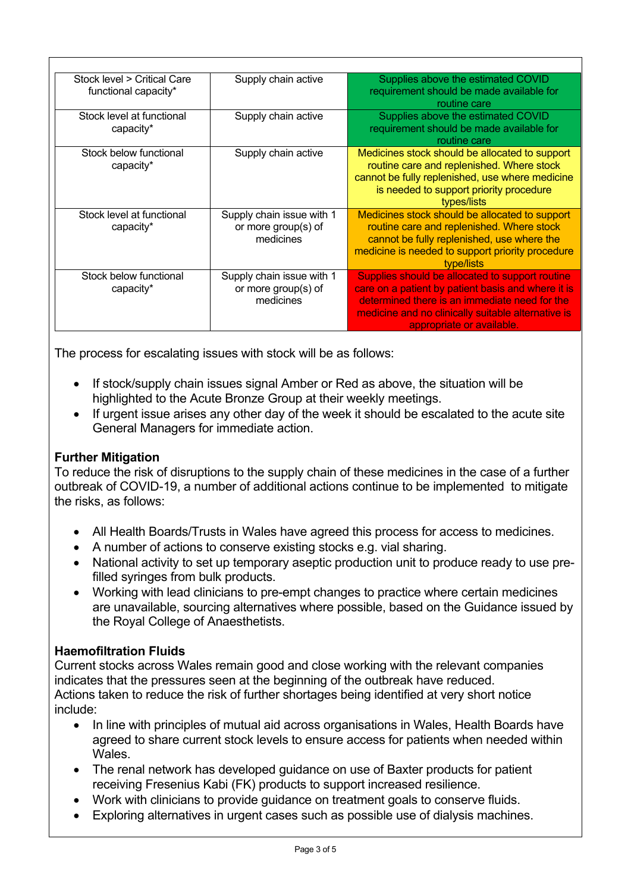| Stock level > Critical Care<br>functional capacity* | Supply chain active                                           | Supplies above the estimated COVID<br>requirement should be made available for                                                                                                                                                            |
|-----------------------------------------------------|---------------------------------------------------------------|-------------------------------------------------------------------------------------------------------------------------------------------------------------------------------------------------------------------------------------------|
|                                                     |                                                               | routine care                                                                                                                                                                                                                              |
| Stock level at functional<br>capacity*              | Supply chain active                                           | Supplies above the estimated COVID<br>requirement should be made available for<br>routine care                                                                                                                                            |
| Stock below functional<br>capacity*                 | Supply chain active                                           | Medicines stock should be allocated to support<br>routine care and replenished. Where stock<br>cannot be fully replenished, use where medicine<br>is needed to support priority procedure<br>types/lists                                  |
| Stock level at functional<br>capacity*              | Supply chain issue with 1<br>or more group(s) of<br>medicines | Medicines stock should be allocated to support<br>routine care and replenished. Where stock<br>cannot be fully replenished, use where the<br>medicine is needed to support priority procedure<br>type/lists                               |
| Stock below functional<br>capacity*                 | Supply chain issue with 1<br>or more group(s) of<br>medicines | Supplies should be allocated to support routine<br>care on a patient by patient basis and where it is<br>determined there is an immediate need for the<br>medicine and no clinically suitable alternative is<br>appropriate or available. |

The process for escalating issues with stock will be as follows:

- If stock/supply chain issues signal Amber or Red as above, the situation will be highlighted to the Acute Bronze Group at their weekly meetings.
- If urgent issue arises any other day of the week it should be escalated to the acute site General Managers for immediate action.

## **Further Mitigation**

To reduce the risk of disruptions to the supply chain of these medicines in the case of a further outbreak of COVID-19, a number of additional actions continue to be implemented to mitigate the risks, as follows:

- All Health Boards/Trusts in Wales have agreed this process for access to medicines.
- A number of actions to conserve existing stocks e.g. vial sharing.
- National activity to set up temporary aseptic production unit to produce ready to use prefilled syringes from bulk products.
- Working with lead clinicians to pre-empt changes to practice where certain medicines are unavailable, sourcing alternatives where possible, based on the Guidance issued by the Royal College of Anaesthetists.

## **Haemofiltration Fluids**

Current stocks across Wales remain good and close working with the relevant companies indicates that the pressures seen at the beginning of the outbreak have reduced. Actions taken to reduce the risk of further shortages being identified at very short notice include:

- In line with principles of mutual aid across organisations in Wales, Health Boards have agreed to share current stock levels to ensure access for patients when needed within Wales.
- The renal network has developed guidance on use of Baxter products for patient receiving Fresenius Kabi (FK) products to support increased resilience.
- Work with clinicians to provide guidance on treatment goals to conserve fluids.
- Exploring alternatives in urgent cases such as possible use of dialysis machines.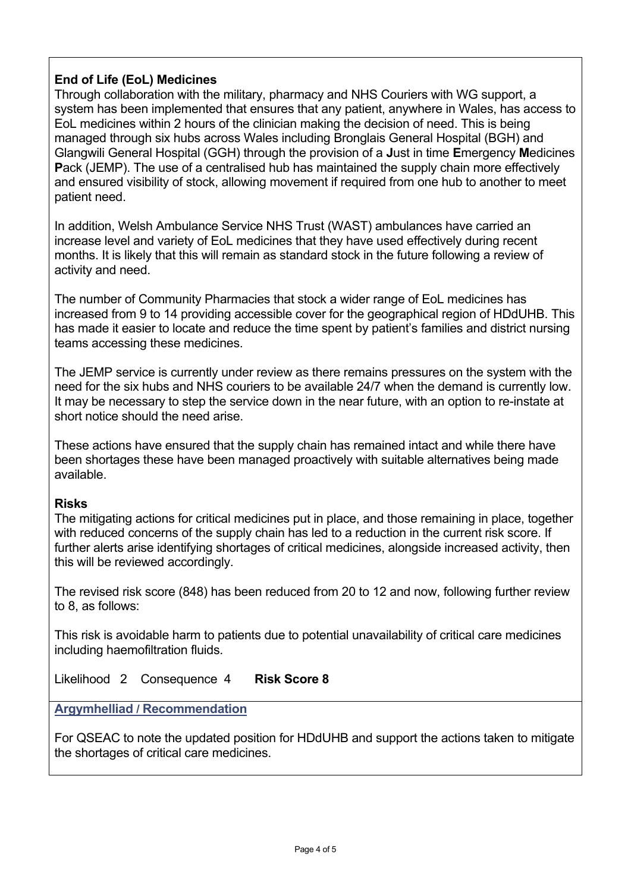## **End of Life (EoL) Medicines**

Through collaboration with the military, pharmacy and NHS Couriers with WG support, a system has been implemented that ensures that any patient, anywhere in Wales, has access to EoL medicines within 2 hours of the clinician making the decision of need. This is being managed through six hubs across Wales including Bronglais General Hospital (BGH) and Glangwili General Hospital (GGH) through the provision of a **J**ust in time **E**mergency **M**edicines Pack (JEMP). The use of a centralised hub has maintained the supply chain more effectively and ensured visibility of stock, allowing movement if required from one hub to another to meet patient need.

In addition, Welsh Ambulance Service NHS Trust (WAST) ambulances have carried an increase level and variety of EoL medicines that they have used effectively during recent months. It is likely that this will remain as standard stock in the future following a review of activity and need.

The number of Community Pharmacies that stock a wider range of EoL medicines has increased from 9 to 14 providing accessible cover for the geographical region of HDdUHB. This has made it easier to locate and reduce the time spent by patient's families and district nursing teams accessing these medicines.

The JEMP service is currently under review as there remains pressures on the system with the need for the six hubs and NHS couriers to be available 24/7 when the demand is currently low. It may be necessary to step the service down in the near future, with an option to re-instate at short notice should the need arise.

These actions have ensured that the supply chain has remained intact and while there have been shortages these have been managed proactively with suitable alternatives being made available.

#### **Risks**

The mitigating actions for critical medicines put in place, and those remaining in place, together with reduced concerns of the supply chain has led to a reduction in the current risk score. If further alerts arise identifying shortages of critical medicines, alongside increased activity, then this will be reviewed accordingly.

The revised risk score (848) has been reduced from 20 to 12 and now, following further review to 8, as follows:

This risk is avoidable harm to patients due to potential unavailability of critical care medicines including haemofiltration fluids.

Likelihood 2 Consequence 4 **Risk Score 8** 

**Argymhelliad / Recommendation**

For QSEAC to note the updated position for HDdUHB and support the actions taken to mitigate the shortages of critical care medicines.